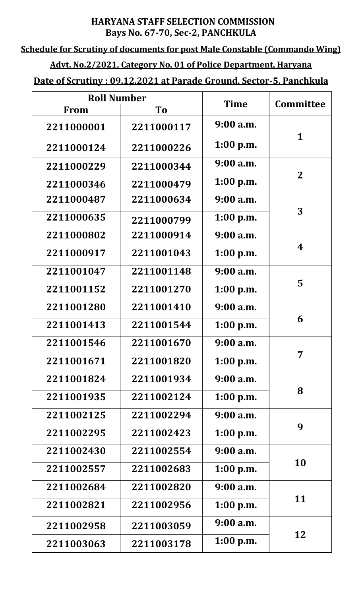### **HARYANA STAFF SELECTION COMMISSION Bays No. 67-70, Sec-2, PANCHKULA**

## **Schedule for Scrutiny of documents for post Male Constable (Commando Wing)**

# **Advt. No.2/2021, Category No. 01 of Police Department, Haryana**

## **Date of Scrutiny : 09.12.2021 at Parade Ground, Sector-5, Panchkula**

| <b>Roll Number</b> |                |             |                  |
|--------------------|----------------|-------------|------------------|
| <b>From</b>        | T <sub>o</sub> | <b>Time</b> | <b>Committee</b> |
| 2211000001         | 2211000117     | $9:00$ a.m. | $\mathbf{1}$     |
| 2211000124         | 2211000226     | $1:00$ p.m. |                  |
| 2211000229         | 2211000344     | $9:00$ a.m. | $\mathbf{2}$     |
| 2211000346         | 2211000479     | $1:00$ p.m. |                  |
| 2211000487         | 2211000634     | $9:00$ a.m. | 3                |
| 2211000635         | 2211000799     | $1:00$ p.m. |                  |
| 2211000802         | 2211000914     | 9:00 a.m.   | 4                |
| 2211000917         | 2211001043     | $1:00$ p.m. |                  |
| 2211001047         | 2211001148     | $9:00$ a.m. | 5                |
| 2211001152         | 2211001270     | $1:00$ p.m. |                  |
| 2211001280         | 2211001410     | $9:00$ a.m. | 6                |
| 2211001413         | 2211001544     | $1:00$ p.m. |                  |
| 2211001546         | 2211001670     | $9:00$ a.m. | 7                |
| 2211001671         | 2211001820     | $1:00$ p.m. |                  |
| 2211001824         | 2211001934     | $9:00$ a.m. | 8                |
| 2211001935         | 2211002124     | 1:00 p.m.   |                  |
| 2211002125         | 2211002294     | $9:00$ a.m. | 9                |
| 2211002295         | 2211002423     | $1:00$ p.m. |                  |
| 2211002430         | 2211002554     | $9:00$ a.m. | 10               |
| 2211002557         | 2211002683     | $1:00$ p.m. |                  |
| 2211002684         | 2211002820     | $9:00$ a.m. | 11               |
| 2211002821         | 2211002956     | $1:00$ p.m. |                  |
| 2211002958         | 2211003059     | 9:00 a.m.   | 12               |
| 2211003063         | 2211003178     | 1:00 p.m.   |                  |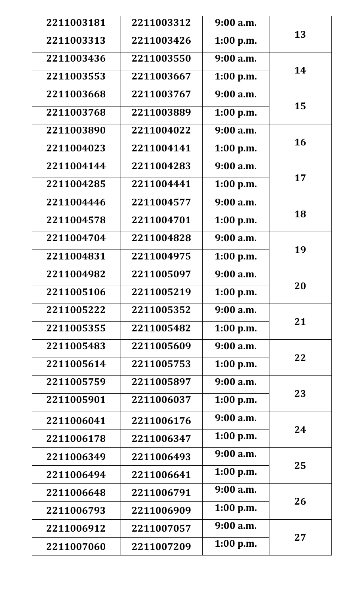| 2211003181 | 2211003312 | 9:00a.m.    | 13 |
|------------|------------|-------------|----|
| 2211003313 | 2211003426 | $1:00$ p.m. |    |
| 2211003436 | 2211003550 | $9:00$ a.m. | 14 |
| 2211003553 | 2211003667 | 1:00 p.m.   |    |
| 2211003668 | 2211003767 | $9:00$ a.m. | 15 |
| 2211003768 | 2211003889 | $1:00$ p.m. |    |
| 2211003890 | 2211004022 | $9:00$ a.m. | 16 |
| 2211004023 | 2211004141 | $1:00$ p.m. |    |
| 2211004144 | 2211004283 | $9:00$ a.m. | 17 |
| 2211004285 | 2211004441 | 1:00 p.m.   |    |
| 2211004446 | 2211004577 | $9:00$ a.m. | 18 |
| 2211004578 | 2211004701 | 1:00 p.m.   |    |
| 2211004704 | 2211004828 | $9:00$ a.m. | 19 |
| 2211004831 | 2211004975 | 1:00 p.m.   |    |
| 2211004982 | 2211005097 | $9:00$ a.m. | 20 |
| 2211005106 | 2211005219 | $1:00$ p.m. |    |
| 2211005222 | 2211005352 | $9:00$ a.m. | 21 |
| 2211005355 | 2211005482 | 1:00 p.m.   |    |
| 2211005483 | 2211005609 | $9:00$ a.m. | 22 |
| 2211005614 | 2211005753 | 1:00 p.m.   |    |
| 2211005759 | 2211005897 | $9:00$ a.m. |    |
| 2211005901 | 2211006037 | 1:00 p.m.   | 23 |
| 2211006041 | 2211006176 | $9:00$ a.m. | 24 |
| 2211006178 | 2211006347 | 1:00 p.m.   |    |
| 2211006349 | 2211006493 | $9:00$ a.m. | 25 |
| 2211006494 | 2211006641 | $1:00$ p.m. |    |
| 2211006648 | 2211006791 | $9:00$ a.m. | 26 |
| 2211006793 | 2211006909 | $1:00$ p.m. |    |
| 2211006912 | 2211007057 | $9:00$ a.m. | 27 |
| 2211007060 | 2211007209 | 1:00 p.m.   |    |